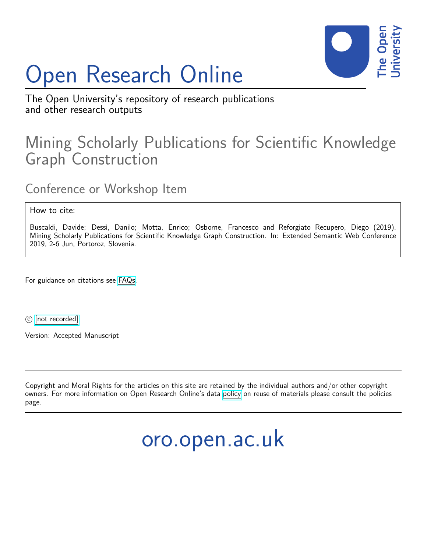# Open Research Online



The Open University's repository of research publications and other research outputs

## Mining Scholarly Publications for Scientific Knowledge Graph Construction

Conference or Workshop Item

How to cite:

Buscaldi, Davide; Dessì, Danilo; Motta, Enrico; Osborne, Francesco and Reforgiato Recupero, Diego (2019). Mining Scholarly Publications for Scientific Knowledge Graph Construction. In: Extended Semantic Web Conference 2019, 2-6 Jun, Portoroz, Slovenia.

For guidance on citations see [FAQs.](http://oro.open.ac.uk/help/helpfaq.html)

c [\[not recorded\]](http://oro.open.ac.uk/help/helpfaq.html#Unrecorded_information_on_coversheet)

Version: Accepted Manuscript

Copyright and Moral Rights for the articles on this site are retained by the individual authors and/or other copyright owners. For more information on Open Research Online's data [policy](http://oro.open.ac.uk/policies.html) on reuse of materials please consult the policies page.

oro.open.ac.uk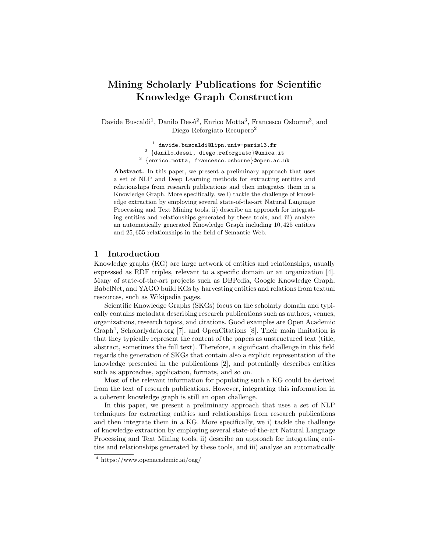### Mining Scholarly Publications for Scientific Knowledge Graph Construction

Davide Buscaldi<sup>1</sup>, Danilo Dessi<sup>2</sup>, Enrico Motta<sup>3</sup>, Francesco Osborne<sup>3</sup>, and Diego Reforgiato Recupero<sup>2</sup>

> $^{\rm 1}$  davide.buscaldi@lipn.univ-paris13.fr  $^2$   $\{$ danilo\_dessi, diego.reforgiato $\}$ @unica.it  $^3$   $\{$ enrico.motta, francesco.osborne $\}$ @open.ac.uk

Abstract. In this paper, we present a preliminary approach that uses a set of NLP and Deep Learning methods for extracting entities and relationships from research publications and then integrates them in a Knowledge Graph. More specifically, we i) tackle the challenge of knowledge extraction by employing several state-of-the-art Natural Language Processing and Text Mining tools, ii) describe an approach for integrating entities and relationships generated by these tools, and iii) analyse an automatically generated Knowledge Graph including 10, 425 entities and 25, 655 relationships in the field of Semantic Web.

#### 1 Introduction

Knowledge graphs (KG) are large network of entities and relationships, usually expressed as RDF triples, relevant to a specific domain or an organization [4]. Many of state-of-the-art projects such as DBPedia, Google Knowledge Graph, BabelNet, and YAGO build KGs by harvesting entities and relations from textual resources, such as Wikipedia pages.

Scientific Knowledge Graphs (SKGs) focus on the scholarly domain and typically contains metadata describing research publications such as authors, venues, organizations, research topics, and citations. Good examples are Open Academic Graph<sup>4</sup>, Scholarlydata.org [7], and OpenCitations [8]. Their main limitation is that they typically represent the content of the papers as unstructured text (title, abstract, sometimes the full text). Therefore, a significant challenge in this field regards the generation of SKGs that contain also a explicit representation of the knowledge presented in the publications [2], and potentially describes entities such as approaches, application, formats, and so on.

Most of the relevant information for populating such a KG could be derived from the text of research publications. However, integrating this information in a coherent knowledge graph is still an open challenge.

In this paper, we present a preliminary approach that uses a set of NLP techniques for extracting entities and relationships from research publications and then integrate them in a KG. More specifically, we i) tackle the challenge of knowledge extraction by employing several state-of-the-art Natural Language Processing and Text Mining tools, ii) describe an approach for integrating entities and relationships generated by these tools, and iii) analyse an automatically

<sup>4</sup> https://www.openacademic.ai/oag/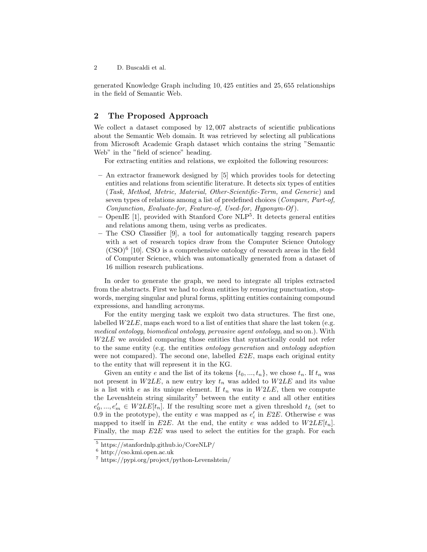2 D. Buscaldi et al.

generated Knowledge Graph including 10, 425 entities and 25, 655 relationships in the field of Semantic Web.

#### 2 The Proposed Approach

We collect a dataset composed by 12,007 abstracts of scientific publications about the Semantic Web domain. It was retrieved by selecting all publications from Microsoft Academic Graph dataset which contains the string "Semantic Web" in the "field of science" heading.

For extracting entities and relations, we exploited the following resources:

- An extractor framework designed by [5] which provides tools for detecting entities and relations from scientific literature. It detects six types of entities (Task, Method, Metric, Material, Other-Scientific-Term, and Generic) and seven types of relations among a list of predefined choices (Compare, Part-of, Conjunction, Evaluate-for, Feature-of, Used-for, Hyponym-Of ).
- OpenIE [1], provided with Stanford Core NLP<sup>5</sup> . It detects general entities and relations among them, using verbs as predicates.
- The CSO Classifier [9], a tool for automatically tagging research papers with a set of research topics draw from the Computer Science Ontology (CSO)<sup>6</sup> [10]. CSO is a comprehensive ontology of research areas in the field of Computer Science, which was automatically generated from a dataset of 16 million research publications.

In order to generate the graph, we need to integrate all triples extracted from the abstracts. First we had to clean entities by removing punctuation, stopwords, merging singular and plural forms, splitting entities containing compound expressions, and handling acronyms.

For the entity merging task we exploit two data structures. The first one, labelled  $W2LE$ , maps each word to a list of entities that share the last token (e.g. medical ontology, biomedical ontology, pervasive agent ontology, and so on.). With W2LE we avoided comparing those entities that syntactically could not refer to the same entity (e.g. the entities ontology generation and ontology adoption were not compared). The second one, labelled  $E2E$ , maps each original entity to the entity that will represent it in the KG.

Given an entity e and the list of its tokens  $\{t_0, ..., t_n\}$ , we chose  $t_n$ . If  $t_n$  was not present in  $W2LE$ , a new entry key  $t_n$  was added to  $W2LE$  and its value is a list with e as its unique element. If  $t_n$  was in  $W2LE$ , then we compute the Levenshtein string similarity<sup>7</sup> between the entity  $e$  and all other entities  $e'_0, ..., e'_m \in W2LE[t_n]$ . If the resulting score met a given threshold  $t_L$  (set to 0.9 in the prototype), the entity e was mapped as  $e'_{i}$  in E2E. Otherwise e was mapped to itself in E2E. At the end, the entity e was added to  $W2LE[t_n]$ . Finally, the map  $E2E$  was used to select the entities for the graph. For each

<sup>5</sup> https://stanfordnlp.github.io/CoreNLP/

<sup>6</sup> http://cso.kmi.open.ac.uk

<sup>7</sup> https://pypi.org/project/python-Levenshtein/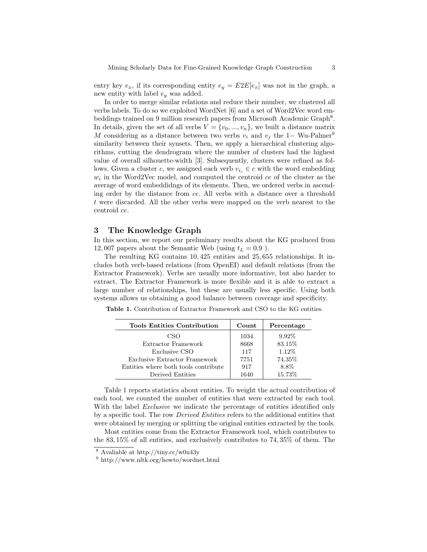entry key  $e_x$ , if its corresponding entity  $e_y = E2E[e_x]$  was not in the graph, a new entity with label  $e_y$  was added.

In order to merge similar relations and reduce their number, we clustered all verbs labels. To do so we exploited WordNet [6] and a set of Word2Vec word embeddings trained on 9 million research papers from Microsoft Academic Graph<sup>8</sup>. In details, given the set of all verbs  $V = \{v_0, ..., v_n\}$ , we built a distance matrix M considering as a distance between two verbs  $v_i$  and  $v_j$  the 1− Wu-Palmer<sup>9</sup> similarity between their synsets. Then, we apply a hierarchical clustering algorithms, cutting the dendrogram where the number of clusters had the highest value of overall silhouette-width [3]. Subsequently, clusters were refined as follows. Given a cluster c, we assigned each verb  $v_{i_c} \in c$  with the word embedding  $w_i$  in the Word2Vec model, and computed the centroid  $ce$  of the cluster as the average of word embeddidngs of its elements. Then, we ordered verbs in ascending order by the distance from ce. All verbs with a distance over a threshold t were discarded. All the other verbs were mapped on the verb nearest to the centroid ce.

#### 3 The Knowledge Graph

In this section, we report our preliminary results about the KG produced from 12, 007 papers about the Semantic Web (using  $t_L = 0.9$ ).

The resulting KG contains 10, 425 entities and 25, 655 relationships. It includes both verb-based relations (from OpenEI) and default relations (from the Extractor Framework). Verbs are usually more informative, but also harder to extract. The Extractor Framework is more flexible and it is able to extract a large number of relationships, but these are usually less specific. Using both systems allows us obtaining a good balance between coverage and specificity.

Table 1. Contribution of Extractor Framework and CSO to the KG entities.

| <b>Tools Entities Contribution</b>   | Count | Percentage |
|--------------------------------------|-------|------------|
| CSO                                  | 1034  | 9,92%      |
| Extractor Framework                  | 8668  | 83.15%     |
| Exclusive CSO                        | 117   | 1.12%      |
| Exclusive Extractor Framework        | 7751  | 74.35%     |
| Entities where both tools contribute | 917   | 8.8%       |
| Derived Entities                     | 1640  | 15.73%     |

Table 1 reports statistics about entities. To weight the actual contribution of each tool, we counted the number of entities that were extracted by each tool. With the label *Exclusive* we indicate the percentage of entities identified only by a specific tool. The row Derived Entities refers to the additional entities that were obtained by merging or splitting the original entities extracted by the tools.

Most entities come from the Extractor Framework tool, which contributes to the 83, 15% of all entities, and exclusively contributes to 74, 35% of them. The

 $8$  Avaliable at http://tiny.cc/w0u43y

<sup>9</sup> http://www.nltk.org/howto/wordnet.html